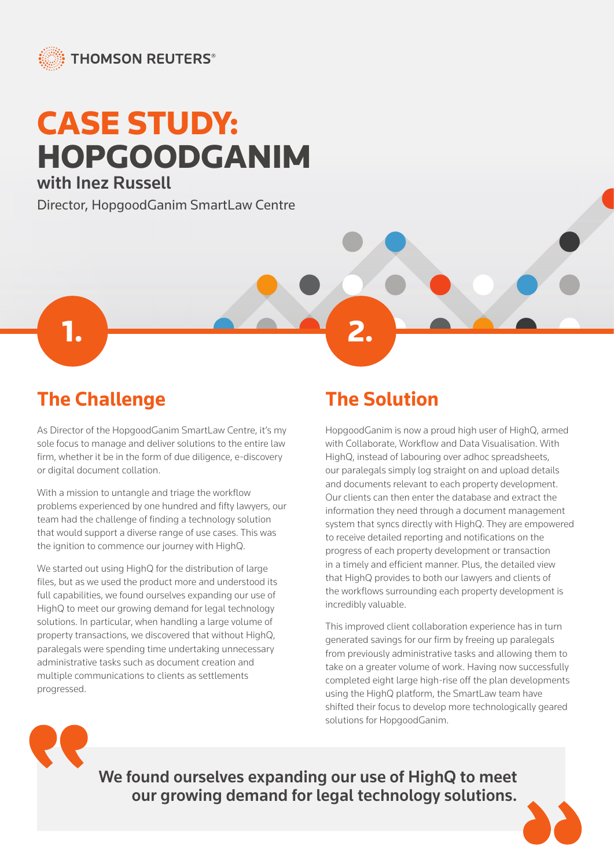

## CASE STUDY: HOPGOODGANIM with Inez Russell

Director, HopgoodGanim SmartLaw Centre

1. **2. 2. 2. 2. 2. 2. 2. 2. 2. 2. 2. 2.** 

**The Challenge**

As Director of the HopgoodGanim SmartLaw Centre, it's my sole focus to manage and deliver solutions to the entire law firm, whether it be in the form of due diligence, e-discovery or digital document collation.

With a mission to untangle and triage the workflow problems experienced by one hundred and fifty lawyers, our team had the challenge of finding a technology solution that would support a diverse range of use cases. This was the ignition to commence our journey with HighQ.

We started out using HighQ for the distribution of large files, but as we used the product more and understood its full capabilities, we found ourselves expanding our use of HighQ to meet our growing demand for legal technology solutions. In particular, when handling a large volume of property transactions, we discovered that without HighQ, paralegals were spending time undertaking unnecessary administrative tasks such as document creation and multiple communications to clients as settlements progressed.

## **The Solution**

HopgoodGanim is now a proud high user of HighQ, armed with Collaborate, Workflow and Data Visualisation. With HighQ, instead of labouring over adhoc spreadsheets, our paralegals simply log straight on and upload details and documents relevant to each property development. Our clients can then enter the database and extract the information they need through a document management system that syncs directly with HighQ. They are empowered to receive detailed reporting and notifications on the progress of each property development or transaction in a timely and efficient manner. Plus, the detailed view that HighQ provides to both our lawyers and clients of the workflows surrounding each property development is incredibly valuable.

This improved client collaboration experience has in turn generated savings for our firm by freeing up paralegals from previously administrative tasks and allowing them to take on a greater volume of work. Having now successfully completed eight large high-rise off the plan developments using the HighQ platform, the SmartLaw team have shifted their focus to develop more technologically geared solutions for HopgoodGanim.



We found ourselves expanding our use of HighQ to meet our growing demand for legal technology solutions.